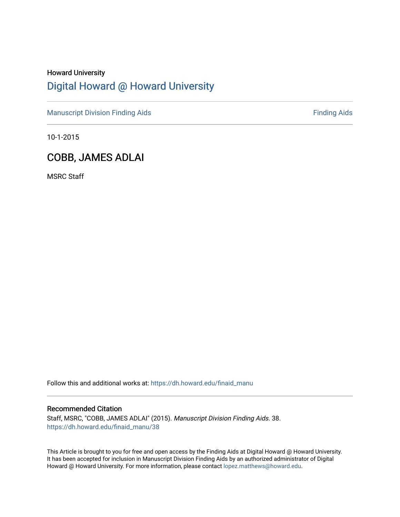# Howard University [Digital Howard @ Howard University](https://dh.howard.edu/)

[Manuscript Division Finding Aids](https://dh.howard.edu/finaid_manu) **Finding Aids** Finding Aids

10-1-2015

## COBB, JAMES ADLAI

MSRC Staff

Follow this and additional works at: [https://dh.howard.edu/finaid\\_manu](https://dh.howard.edu/finaid_manu?utm_source=dh.howard.edu%2Ffinaid_manu%2F38&utm_medium=PDF&utm_campaign=PDFCoverPages) 

### Recommended Citation

Staff, MSRC, "COBB, JAMES ADLAI" (2015). Manuscript Division Finding Aids. 38. [https://dh.howard.edu/finaid\\_manu/38](https://dh.howard.edu/finaid_manu/38?utm_source=dh.howard.edu%2Ffinaid_manu%2F38&utm_medium=PDF&utm_campaign=PDFCoverPages)

This Article is brought to you for free and open access by the Finding Aids at Digital Howard @ Howard University. It has been accepted for inclusion in Manuscript Division Finding Aids by an authorized administrator of Digital Howard @ Howard University. For more information, please contact [lopez.matthews@howard.edu](mailto:lopez.matthews@howard.edu).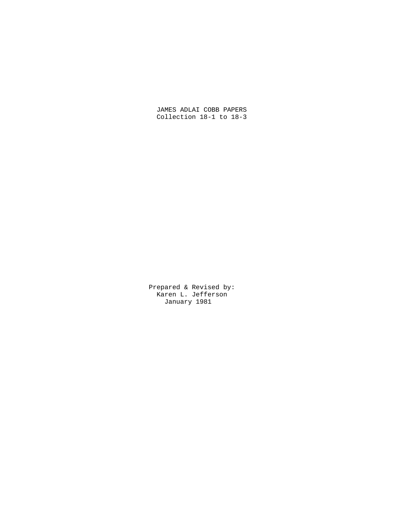JAMES ADLAI COBB PAPERS Collection 18-1 to 18-3

 Prepared & Revised by: Karen L. Jefferson January 1981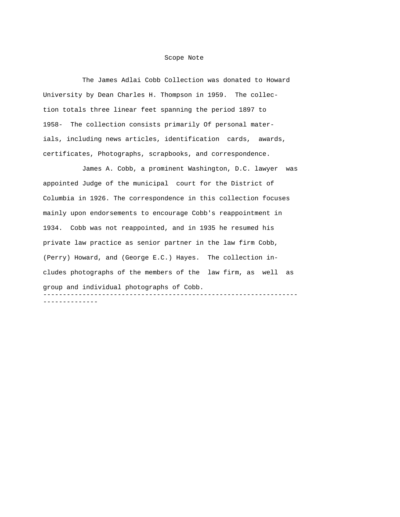#### Scope Note

 The James Adlai Cobb Collection was donated to Howard University by Dean Charles H. Thompson in 1959. The collection totals three linear feet spanning the period 1897 to 1958- The collection consists primarily Of personal materials, including news articles, identification cards, awards, certificates, Photographs, scrapbooks, and correspondence.

 James A. Cobb, a prominent Washington, D.C. lawyer was appointed Judge of the municipal court for the District of Columbia in 1926. The correspondence in this collection focuses mainly upon endorsements to encourage Cobb's reappointment in 1934. Cobb was not reappointed, and in 1935 he resumed his private law practice as senior partner in the law firm Cobb, (Perry) Howard, and (George E.C.) Hayes. The collection includes photographs of the members of the law firm, as well as group and individual photographs of Cobb. ----------------------------------------------------------------- --------------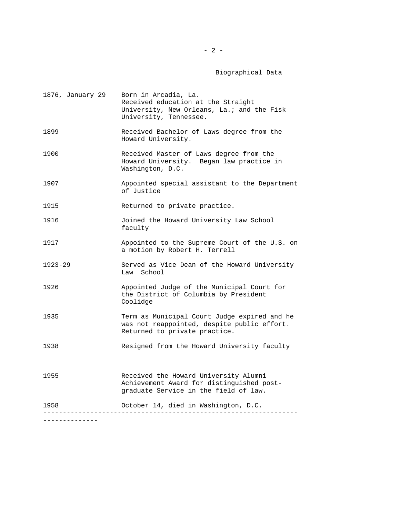### Biographical Data

| 1876, January 29              | Born in Arcadia, La.<br>Received education at the Straight<br>University, New Orleans, La.; and the Fisk<br>University, Tennessee. |
|-------------------------------|------------------------------------------------------------------------------------------------------------------------------------|
| 1899                          | Received Bachelor of Laws degree from the<br>Howard University.                                                                    |
| 1900                          | Received Master of Laws degree from the<br>Howard University. Began law practice in<br>Washington, D.C.                            |
| 1907                          | Appointed special assistant to the Department<br>of Justice                                                                        |
| 1915                          | Returned to private practice.                                                                                                      |
| 1916                          | Joined the Howard University Law School<br>faculty                                                                                 |
| 1917                          | Appointed to the Supreme Court of the U.S. on<br>a motion by Robert H. Terrell                                                     |
| $1923 - 29$                   | Served as Vice Dean of the Howard University<br>Law School                                                                         |
| 1926                          | Appointed Judge of the Municipal Court for<br>the District of Columbia by President<br>Coolidge                                    |
| 1935                          | Term as Municipal Court Judge expired and he<br>was not reappointed, despite public effort.<br>Returned to private practice.       |
| 1938                          | Resigned from the Howard University faculty                                                                                        |
| 1955                          | Received the Howard University Alumni<br>Achievement Award for distinguished post-<br>graduate Service in the field of law.        |
| 1958                          | October 14, died in Washington, D.C.                                                                                               |
| - - - - - - - - - - - - - - - |                                                                                                                                    |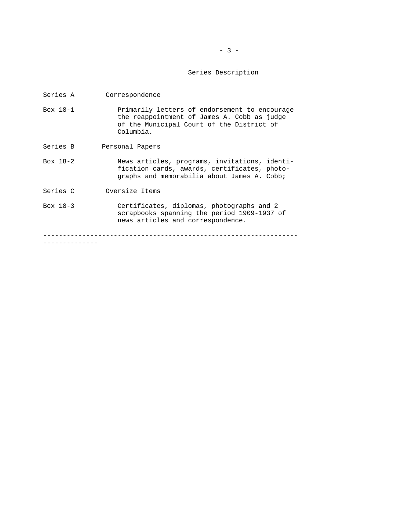### $-3 -$

#### Series Description

- Series A Correspondence
- Box 18-1 Primarily letters of endorsement to encourage the reappointment of James A. Cobb as judge of the Municipal Court of the District of Columbia.
- Series B Personal Papers
- Box 18-2 News articles, programs, invitations, identi fication cards, awards, certificates, photo graphs and memorabilia about James A. Cobb;
- Series C Oversize Items
- Box 18-3 Certificates, diplomas, photographs and 2 scrapbooks spanning the period 1909-1937 of news articles and correspondence.

-----------------------------------------------------------------

--------------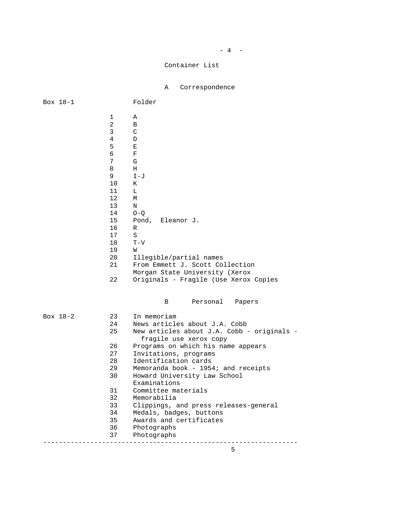# $-4$  -

### Container List

A Correspondence

| Box 18-1 |                                                                                                                                                   | Folder                                                                                                                                                                                                                                                                |
|----------|---------------------------------------------------------------------------------------------------------------------------------------------------|-----------------------------------------------------------------------------------------------------------------------------------------------------------------------------------------------------------------------------------------------------------------------|
|          | 1<br>$\overline{2}$<br>3<br>$\overline{4}$<br>5<br>6<br>7<br>8<br>9<br>10<br>11<br>12<br>13<br>14<br>15<br>16<br>17<br>18<br>19<br>20<br>21<br>22 | Α<br>B<br>C<br>D<br>Ε<br>F<br>G<br>Н<br>$I-J$<br>К<br>L<br>М<br>N<br>$O-Q$<br>Pond, Eleanor J.<br>R<br>$\rm S$<br>$T-V$<br>W<br>Illegible/partial names<br>From Emmett J. Scott Collection<br>Morgan State University (Xerox<br>Originals - Fragile (Use Xerox Copies |
|          |                                                                                                                                                   | Personal<br>B<br>Papers                                                                                                                                                                                                                                               |
| Box 18-2 | 23                                                                                                                                                | In memoriam                                                                                                                                                                                                                                                           |
|          | 24                                                                                                                                                | News articles about J.A. Cobb                                                                                                                                                                                                                                         |
|          | 25                                                                                                                                                | New articles about J.A. Cobb - originals -<br>fragile use xerox copy                                                                                                                                                                                                  |
|          | 26                                                                                                                                                | Programs on which his name appears                                                                                                                                                                                                                                    |
|          | 27                                                                                                                                                | Invitations, programs                                                                                                                                                                                                                                                 |
|          | 28                                                                                                                                                | Identification cards                                                                                                                                                                                                                                                  |
|          | 29                                                                                                                                                | Memoranda book - 1954; and receipts                                                                                                                                                                                                                                   |
|          | 30                                                                                                                                                | Howard University Law School<br>Examinations                                                                                                                                                                                                                          |
|          | 31                                                                                                                                                | Committee materials                                                                                                                                                                                                                                                   |
|          | 32                                                                                                                                                | Memorabilia                                                                                                                                                                                                                                                           |
|          | 33                                                                                                                                                | Clippings, and press releases-general                                                                                                                                                                                                                                 |
|          | 34                                                                                                                                                | Medals, badges, buttons                                                                                                                                                                                                                                               |
|          | 35                                                                                                                                                | Awards and certificates                                                                                                                                                                                                                                               |
|          | 36                                                                                                                                                | Photographs                                                                                                                                                                                                                                                           |
|          | 37                                                                                                                                                | Photographs                                                                                                                                                                                                                                                           |
|          |                                                                                                                                                   |                                                                                                                                                                                                                                                                       |